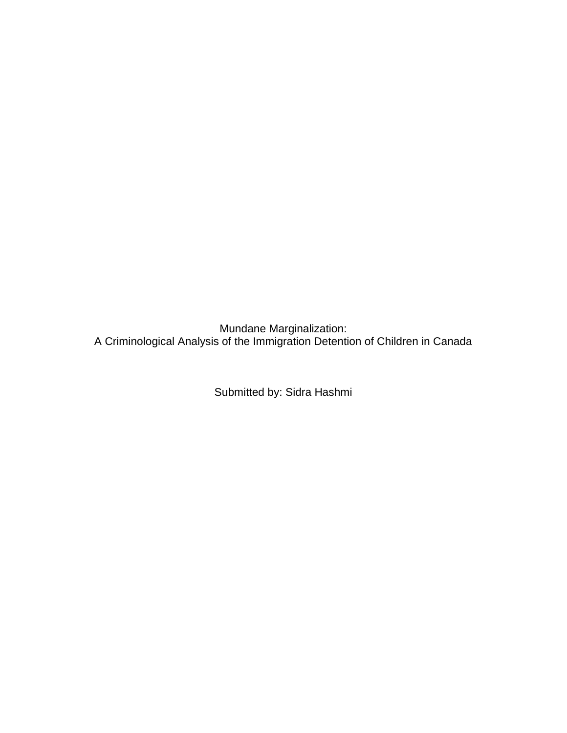Mundane Marginalization: A Criminological Analysis of the Immigration Detention of Children in Canada

Submitted by: Sidra Hashmi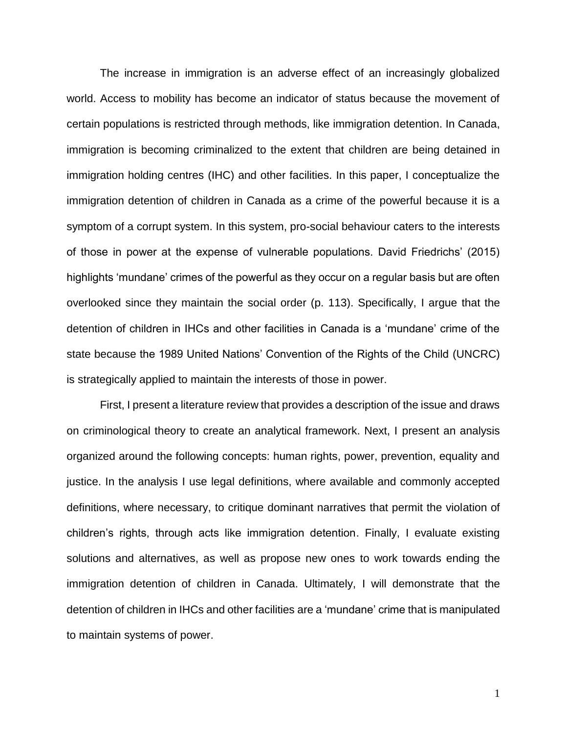The increase in immigration is an adverse effect of an increasingly globalized world. Access to mobility has become an indicator of status because the movement of certain populations is restricted through methods, like immigration detention. In Canada, immigration is becoming criminalized to the extent that children are being detained in immigration holding centres (IHC) and other facilities. In this paper, I conceptualize the immigration detention of children in Canada as a crime of the powerful because it is a symptom of a corrupt system. In this system, pro-social behaviour caters to the interests of those in power at the expense of vulnerable populations. David Friedrichs' (2015) highlights 'mundane' crimes of the powerful as they occur on a regular basis but are often overlooked since they maintain the social order (p. 113). Specifically, I argue that the detention of children in IHCs and other facilities in Canada is a 'mundane' crime of the state because the 1989 United Nations' Convention of the Rights of the Child (UNCRC) is strategically applied to maintain the interests of those in power.

First, I present a literature review that provides a description of the issue and draws on criminological theory to create an analytical framework. Next, I present an analysis organized around the following concepts: human rights, power, prevention, equality and justice. In the analysis I use legal definitions, where available and commonly accepted definitions, where necessary, to critique dominant narratives that permit the violation of children's rights, through acts like immigration detention. Finally, I evaluate existing solutions and alternatives, as well as propose new ones to work towards ending the immigration detention of children in Canada. Ultimately, I will demonstrate that the detention of children in IHCs and other facilities are a 'mundane' crime that is manipulated to maintain systems of power.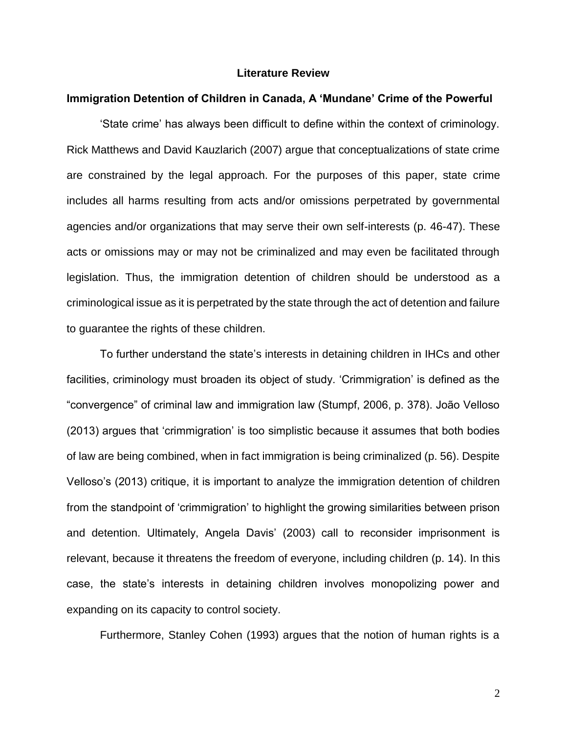### **Literature Review**

## **Immigration Detention of Children in Canada, A 'Mundane' Crime of the Powerful**

'State crime' has always been difficult to define within the context of criminology. Rick Matthews and David Kauzlarich (2007) argue that conceptualizations of state crime are constrained by the legal approach. For the purposes of this paper, state crime includes all harms resulting from acts and/or omissions perpetrated by governmental agencies and/or organizations that may serve their own self-interests (p. 46-47). These acts or omissions may or may not be criminalized and may even be facilitated through legislation. Thus, the immigration detention of children should be understood as a criminological issue as it is perpetrated by the state through the act of detention and failure to guarantee the rights of these children.

To further understand the state's interests in detaining children in IHCs and other facilities, criminology must broaden its object of study. 'Crimmigration' is defined as the "convergence" of criminal law and immigration law (Stumpf, 2006, p. 378). João Velloso (2013) argues that 'crimmigration' is too simplistic because it assumes that both bodies of law are being combined, when in fact immigration is being criminalized (p. 56). Despite Velloso's (2013) critique, it is important to analyze the immigration detention of children from the standpoint of 'crimmigration' to highlight the growing similarities between prison and detention. Ultimately, Angela Davis' (2003) call to reconsider imprisonment is relevant, because it threatens the freedom of everyone, including children (p. 14). In this case, the state's interests in detaining children involves monopolizing power and expanding on its capacity to control society.

Furthermore, Stanley Cohen (1993) argues that the notion of human rights is a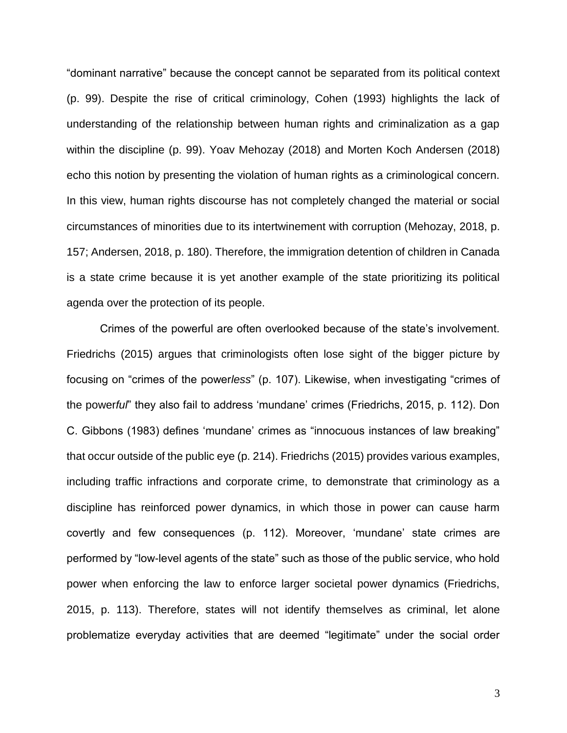"dominant narrative" because the concept cannot be separated from its political context (p. 99). Despite the rise of critical criminology, Cohen (1993) highlights the lack of understanding of the relationship between human rights and criminalization as a gap within the discipline (p. 99). Yoav Mehozay (2018) and Morten Koch Andersen (2018) echo this notion by presenting the violation of human rights as a criminological concern. In this view, human rights discourse has not completely changed the material or social circumstances of minorities due to its intertwinement with corruption (Mehozay, 2018, p. 157; Andersen, 2018, p. 180). Therefore, the immigration detention of children in Canada is a state crime because it is yet another example of the state prioritizing its political agenda over the protection of its people.

Crimes of the powerful are often overlooked because of the state's involvement. Friedrichs (2015) argues that criminologists often lose sight of the bigger picture by focusing on "crimes of the power*less*" (p. 107). Likewise, when investigating "crimes of the power*ful*" they also fail to address 'mundane' crimes (Friedrichs, 2015, p. 112). Don C. Gibbons (1983) defines 'mundane' crimes as "innocuous instances of law breaking" that occur outside of the public eye (p. 214). Friedrichs (2015) provides various examples, including traffic infractions and corporate crime, to demonstrate that criminology as a discipline has reinforced power dynamics, in which those in power can cause harm covertly and few consequences (p. 112). Moreover, 'mundane' state crimes are performed by "low-level agents of the state" such as those of the public service, who hold power when enforcing the law to enforce larger societal power dynamics (Friedrichs, 2015, p. 113). Therefore, states will not identify themselves as criminal, let alone problematize everyday activities that are deemed "legitimate" under the social order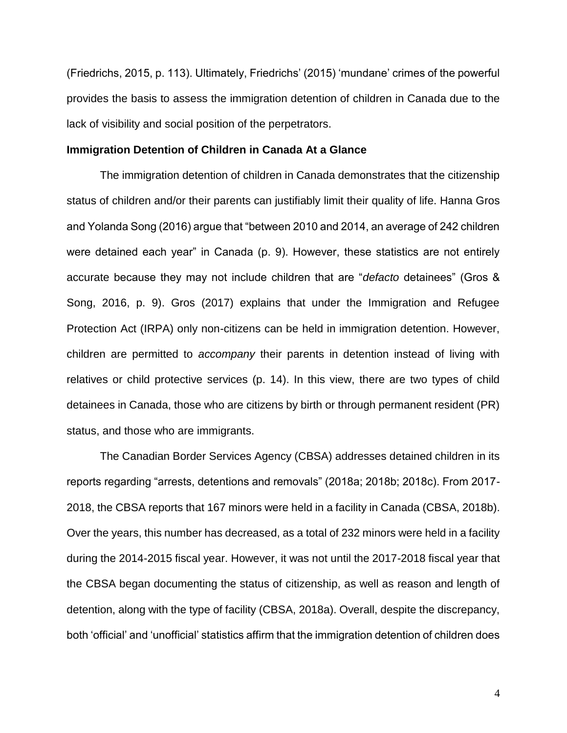(Friedrichs, 2015, p. 113). Ultimately, Friedrichs' (2015) 'mundane' crimes of the powerful provides the basis to assess the immigration detention of children in Canada due to the lack of visibility and social position of the perpetrators.

### **Immigration Detention of Children in Canada At a Glance**

The immigration detention of children in Canada demonstrates that the citizenship status of children and/or their parents can justifiably limit their quality of life. Hanna Gros and Yolanda Song (2016) argue that "between 2010 and 2014, an average of 242 children were detained each year" in Canada (p. 9). However, these statistics are not entirely accurate because they may not include children that are "*defacto* detainees" (Gros & Song, 2016, p. 9). Gros (2017) explains that under the Immigration and Refugee Protection Act (IRPA) only non-citizens can be held in immigration detention. However, children are permitted to *accompany* their parents in detention instead of living with relatives or child protective services (p. 14). In this view, there are two types of child detainees in Canada, those who are citizens by birth or through permanent resident (PR) status, and those who are immigrants.

The Canadian Border Services Agency (CBSA) addresses detained children in its reports regarding "arrests, detentions and removals" (2018a; 2018b; 2018c). From 2017- 2018, the CBSA reports that 167 minors were held in a facility in Canada (CBSA, 2018b). Over the years, this number has decreased, as a total of 232 minors were held in a facility during the 2014-2015 fiscal year. However, it was not until the 2017-2018 fiscal year that the CBSA began documenting the status of citizenship, as well as reason and length of detention, along with the type of facility (CBSA, 2018a). Overall, despite the discrepancy, both 'official' and 'unofficial' statistics affirm that the immigration detention of children does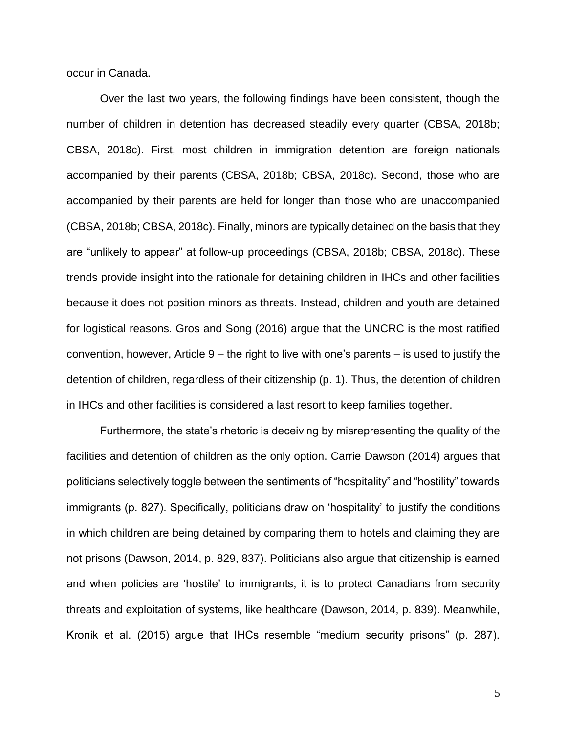occur in Canada.

Over the last two years, the following findings have been consistent, though the number of children in detention has decreased steadily every quarter (CBSA, 2018b; CBSA, 2018c). First, most children in immigration detention are foreign nationals accompanied by their parents (CBSA, 2018b; CBSA, 2018c). Second, those who are accompanied by their parents are held for longer than those who are unaccompanied (CBSA, 2018b; CBSA, 2018c). Finally, minors are typically detained on the basis that they are "unlikely to appear" at follow-up proceedings (CBSA, 2018b; CBSA, 2018c). These trends provide insight into the rationale for detaining children in IHCs and other facilities because it does not position minors as threats. Instead, children and youth are detained for logistical reasons. Gros and Song (2016) argue that the UNCRC is the most ratified convention, however, Article 9 – the right to live with one's parents – is used to justify the detention of children, regardless of their citizenship (p. 1). Thus, the detention of children in IHCs and other facilities is considered a last resort to keep families together.

Furthermore, the state's rhetoric is deceiving by misrepresenting the quality of the facilities and detention of children as the only option. Carrie Dawson (2014) argues that politicians selectively toggle between the sentiments of "hospitality" and "hostility" towards immigrants (p. 827). Specifically, politicians draw on 'hospitality' to justify the conditions in which children are being detained by comparing them to hotels and claiming they are not prisons (Dawson, 2014, p. 829, 837). Politicians also argue that citizenship is earned and when policies are 'hostile' to immigrants, it is to protect Canadians from security threats and exploitation of systems, like healthcare (Dawson, 2014, p. 839). Meanwhile, Kronik et al. (2015) argue that IHCs resemble "medium security prisons" (p. 287).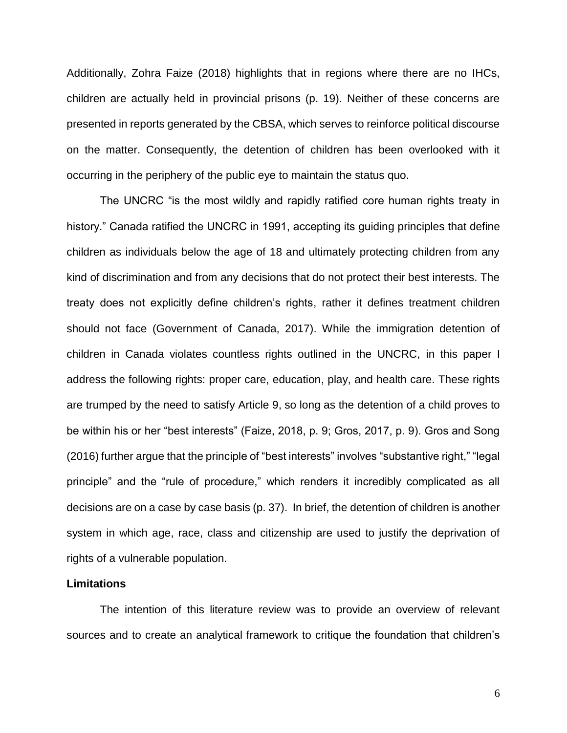Additionally, Zohra Faize (2018) highlights that in regions where there are no IHCs, children are actually held in provincial prisons (p. 19). Neither of these concerns are presented in reports generated by the CBSA, which serves to reinforce political discourse on the matter. Consequently, the detention of children has been overlooked with it occurring in the periphery of the public eye to maintain the status quo.

The UNCRC "is the most wildly and rapidly ratified core human rights treaty in history." Canada ratified the UNCRC in 1991, accepting its guiding principles that define children as individuals below the age of 18 and ultimately protecting children from any kind of discrimination and from any decisions that do not protect their best interests. The treaty does not explicitly define children's rights, rather it defines treatment children should not face (Government of Canada, 2017). While the immigration detention of children in Canada violates countless rights outlined in the UNCRC, in this paper I address the following rights: proper care, education, play, and health care. These rights are trumped by the need to satisfy Article 9, so long as the detention of a child proves to be within his or her "best interests" (Faize, 2018, p. 9; Gros, 2017, p. 9). Gros and Song (2016) further argue that the principle of "best interests" involves "substantive right," "legal principle" and the "rule of procedure," which renders it incredibly complicated as all decisions are on a case by case basis (p. 37). In brief, the detention of children is another system in which age, race, class and citizenship are used to justify the deprivation of rights of a vulnerable population.

### **Limitations**

The intention of this literature review was to provide an overview of relevant sources and to create an analytical framework to critique the foundation that children's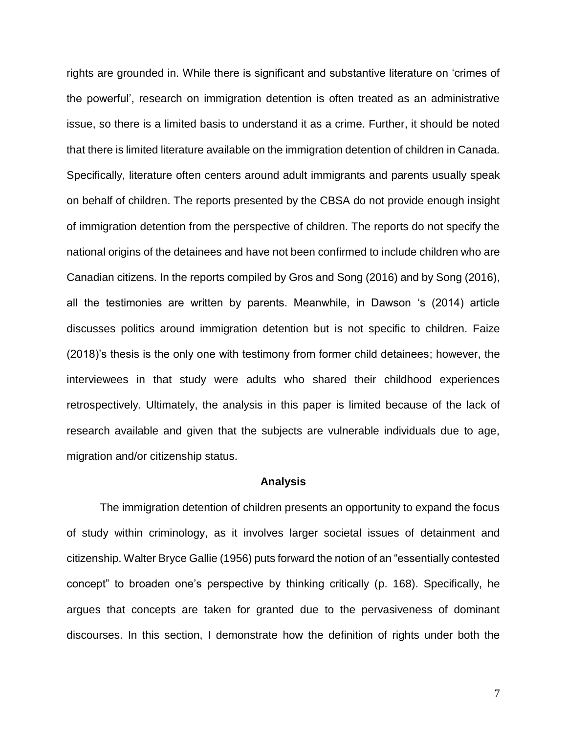rights are grounded in. While there is significant and substantive literature on 'crimes of the powerful', research on immigration detention is often treated as an administrative issue, so there is a limited basis to understand it as a crime. Further, it should be noted that there is limited literature available on the immigration detention of children in Canada. Specifically, literature often centers around adult immigrants and parents usually speak on behalf of children. The reports presented by the CBSA do not provide enough insight of immigration detention from the perspective of children. The reports do not specify the national origins of the detainees and have not been confirmed to include children who are Canadian citizens. In the reports compiled by Gros and Song (2016) and by Song (2016), all the testimonies are written by parents. Meanwhile, in Dawson 's (2014) article discusses politics around immigration detention but is not specific to children. Faize (2018)'s thesis is the only one with testimony from former child detainees; however, the interviewees in that study were adults who shared their childhood experiences retrospectively. Ultimately, the analysis in this paper is limited because of the lack of research available and given that the subjects are vulnerable individuals due to age, migration and/or citizenship status.

#### **Analysis**

The immigration detention of children presents an opportunity to expand the focus of study within criminology, as it involves larger societal issues of detainment and citizenship. Walter Bryce Gallie (1956) puts forward the notion of an "essentially contested concept" to broaden one's perspective by thinking critically (p. 168). Specifically, he argues that concepts are taken for granted due to the pervasiveness of dominant discourses. In this section, I demonstrate how the definition of rights under both the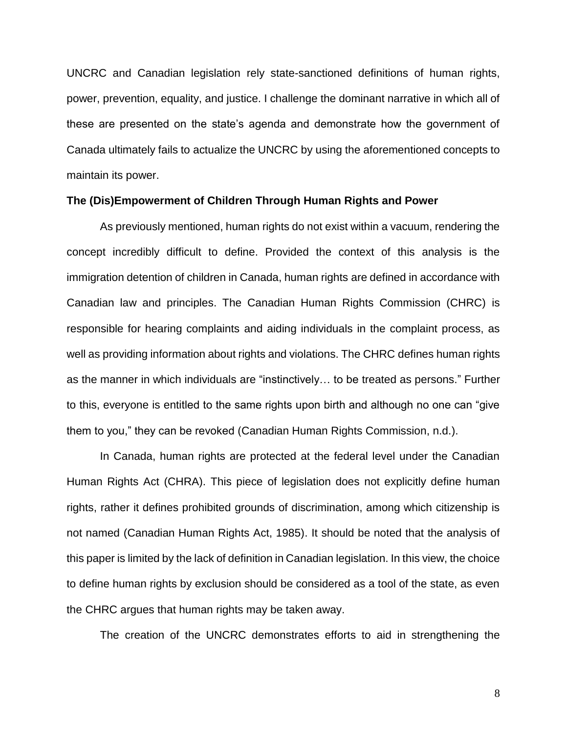UNCRC and Canadian legislation rely state-sanctioned definitions of human rights, power, prevention, equality, and justice. I challenge the dominant narrative in which all of these are presented on the state's agenda and demonstrate how the government of Canada ultimately fails to actualize the UNCRC by using the aforementioned concepts to maintain its power.

# **The (Dis)Empowerment of Children Through Human Rights and Power**

As previously mentioned, human rights do not exist within a vacuum, rendering the concept incredibly difficult to define. Provided the context of this analysis is the immigration detention of children in Canada, human rights are defined in accordance with Canadian law and principles. The Canadian Human Rights Commission (CHRC) is responsible for hearing complaints and aiding individuals in the complaint process, as well as providing information about rights and violations. The CHRC defines human rights as the manner in which individuals are "instinctively… to be treated as persons." Further to this, everyone is entitled to the same rights upon birth and although no one can "give them to you," they can be revoked (Canadian Human Rights Commission, n.d.).

In Canada, human rights are protected at the federal level under the Canadian Human Rights Act (CHRA). This piece of legislation does not explicitly define human rights, rather it defines prohibited grounds of discrimination, among which citizenship is not named (Canadian Human Rights Act, 1985). It should be noted that the analysis of this paper is limited by the lack of definition in Canadian legislation. In this view, the choice to define human rights by exclusion should be considered as a tool of the state, as even the CHRC argues that human rights may be taken away.

The creation of the UNCRC demonstrates efforts to aid in strengthening the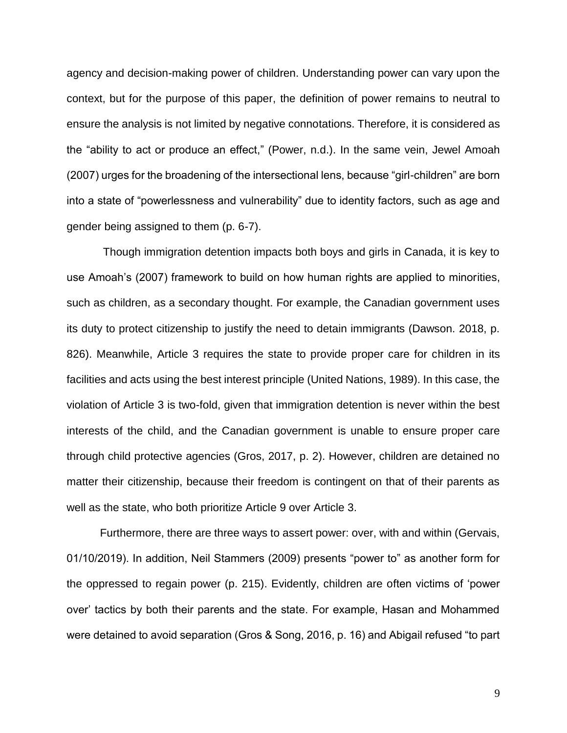agency and decision-making power of children. Understanding power can vary upon the context, but for the purpose of this paper, the definition of power remains to neutral to ensure the analysis is not limited by negative connotations. Therefore, it is considered as the "ability to act or produce an effect," (Power, n.d.). In the same vein, Jewel Amoah (2007) urges for the broadening of the intersectional lens, because "girl-children" are born into a state of "powerlessness and vulnerability" due to identity factors, such as age and gender being assigned to them (p. 6-7).

Though immigration detention impacts both boys and girls in Canada, it is key to use Amoah's (2007) framework to build on how human rights are applied to minorities, such as children, as a secondary thought. For example, the Canadian government uses its duty to protect citizenship to justify the need to detain immigrants (Dawson. 2018, p. 826). Meanwhile, Article 3 requires the state to provide proper care for children in its facilities and acts using the best interest principle (United Nations, 1989). In this case, the violation of Article 3 is two-fold, given that immigration detention is never within the best interests of the child, and the Canadian government is unable to ensure proper care through child protective agencies (Gros, 2017, p. 2). However, children are detained no matter their citizenship, because their freedom is contingent on that of their parents as well as the state, who both prioritize Article 9 over Article 3.

Furthermore, there are three ways to assert power: over, with and within (Gervais, 01/10/2019). In addition, Neil Stammers (2009) presents "power to" as another form for the oppressed to regain power (p. 215). Evidently, children are often victims of 'power over' tactics by both their parents and the state. For example, Hasan and Mohammed were detained to avoid separation (Gros & Song, 2016, p. 16) and Abigail refused "to part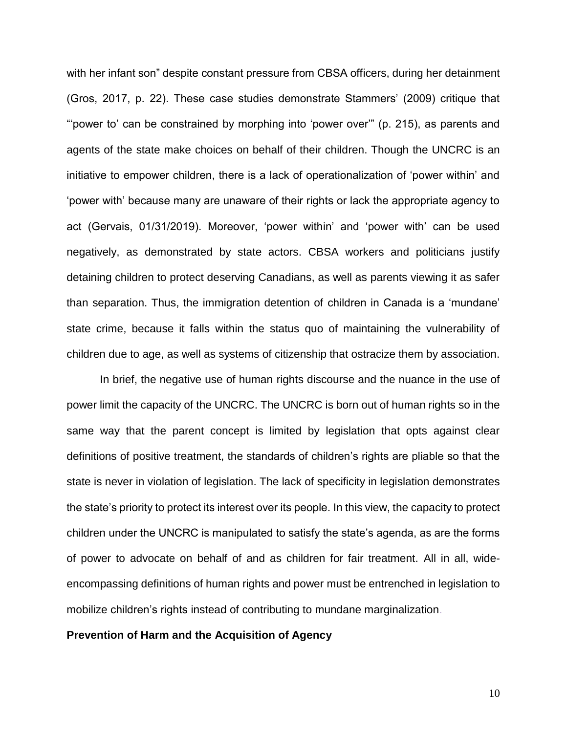with her infant son" despite constant pressure from CBSA officers, during her detainment (Gros, 2017, p. 22). These case studies demonstrate Stammers' (2009) critique that "'power to' can be constrained by morphing into 'power over'" (p. 215), as parents and agents of the state make choices on behalf of their children. Though the UNCRC is an initiative to empower children, there is a lack of operationalization of 'power within' and 'power with' because many are unaware of their rights or lack the appropriate agency to act (Gervais, 01/31/2019). Moreover, 'power within' and 'power with' can be used negatively, as demonstrated by state actors. CBSA workers and politicians justify detaining children to protect deserving Canadians, as well as parents viewing it as safer than separation. Thus, the immigration detention of children in Canada is a 'mundane' state crime, because it falls within the status quo of maintaining the vulnerability of children due to age, as well as systems of citizenship that ostracize them by association.

In brief, the negative use of human rights discourse and the nuance in the use of power limit the capacity of the UNCRC. The UNCRC is born out of human rights so in the same way that the parent concept is limited by legislation that opts against clear definitions of positive treatment, the standards of children's rights are pliable so that the state is never in violation of legislation. The lack of specificity in legislation demonstrates the state's priority to protect its interest over its people. In this view, the capacity to protect children under the UNCRC is manipulated to satisfy the state's agenda, as are the forms of power to advocate on behalf of and as children for fair treatment. All in all, wideencompassing definitions of human rights and power must be entrenched in legislation to mobilize children's rights instead of contributing to mundane marginalization.

### **Prevention of Harm and the Acquisition of Agency**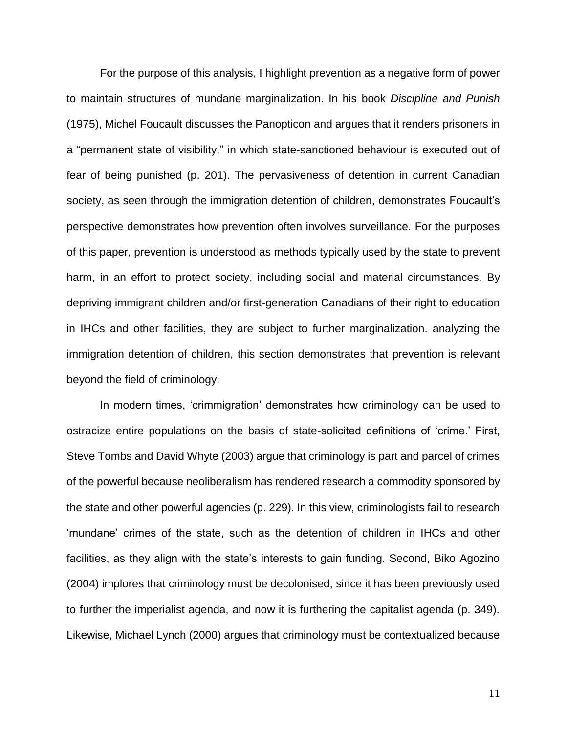For the purpose of this analysis, I highlight prevention as a negative form of power to maintain structures of mundane marginalization. In his book *Discipline and Punish*  (1975), Michel Foucault discusses the Panopticon and argues that it renders prisoners in a "permanent state of visibility," in which state-sanctioned behaviour is executed out of fear of being punished (p. 201). The pervasiveness of detention in current Canadian society, as seen through the immigration detention of children, demonstrates Foucault's perspective demonstrates how prevention often involves surveillance. For the purposes of this paper, prevention is understood as methods typically used by the state to prevent harm, in an effort to protect society, including social and material circumstances. By depriving immigrant children and/or first-generation Canadians of their right to education in IHCs and other facilities, they are subject to further marginalization. analyzing the immigration detention of children, this section demonstrates that prevention is relevant beyond the field of criminology.

In modern times, 'crimmigration' demonstrates how criminology can be used to ostracize entire populations on the basis of state-solicited definitions of 'crime.' First, Steve Tombs and David Whyte (2003) argue that criminology is part and parcel of crimes of the powerful because neoliberalism has rendered research a commodity sponsored by the state and other powerful agencies (p. 229). In this view, criminologists fail to research 'mundane' crimes of the state, such as the detention of children in IHCs and other facilities, as they align with the state's interests to gain funding. Second, Biko Agozino (2004) implores that criminology must be decolonised, since it has been previously used to further the imperialist agenda, and now it is furthering the capitalist agenda (p. 349). Likewise, Michael Lynch (2000) argues that criminology must be contextualized because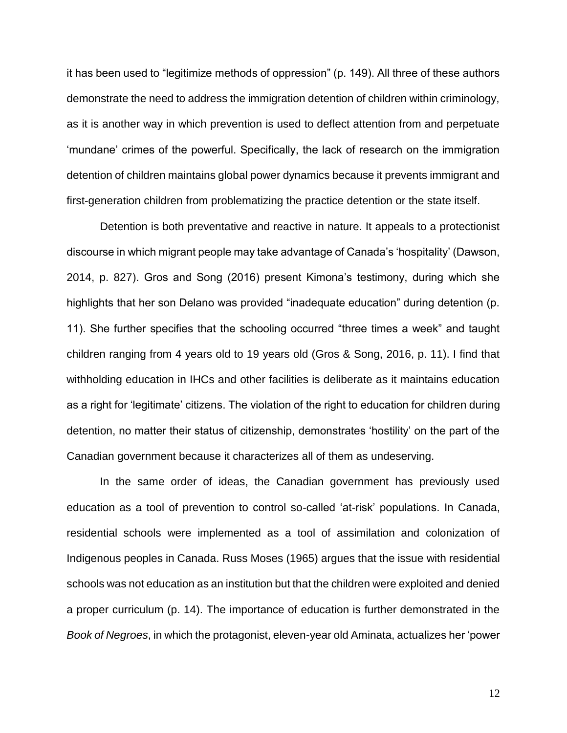it has been used to "legitimize methods of oppression" (p. 149). All three of these authors demonstrate the need to address the immigration detention of children within criminology, as it is another way in which prevention is used to deflect attention from and perpetuate 'mundane' crimes of the powerful. Specifically, the lack of research on the immigration detention of children maintains global power dynamics because it prevents immigrant and first-generation children from problematizing the practice detention or the state itself.

Detention is both preventative and reactive in nature. It appeals to a protectionist discourse in which migrant people may take advantage of Canada's 'hospitality' (Dawson, 2014, p. 827). Gros and Song (2016) present Kimona's testimony, during which she highlights that her son Delano was provided "inadequate education" during detention (p. 11). She further specifies that the schooling occurred "three times a week" and taught children ranging from 4 years old to 19 years old (Gros & Song, 2016, p. 11). I find that withholding education in IHCs and other facilities is deliberate as it maintains education as a right for 'legitimate' citizens. The violation of the right to education for children during detention, no matter their status of citizenship, demonstrates 'hostility' on the part of the Canadian government because it characterizes all of them as undeserving.

In the same order of ideas, the Canadian government has previously used education as a tool of prevention to control so-called 'at-risk' populations. In Canada, residential schools were implemented as a tool of assimilation and colonization of Indigenous peoples in Canada. Russ Moses (1965) argues that the issue with residential schools was not education as an institution but that the children were exploited and denied a proper curriculum (p. 14). The importance of education is further demonstrated in the *Book of Negroes*, in which the protagonist, eleven-year old Aminata, actualizes her 'power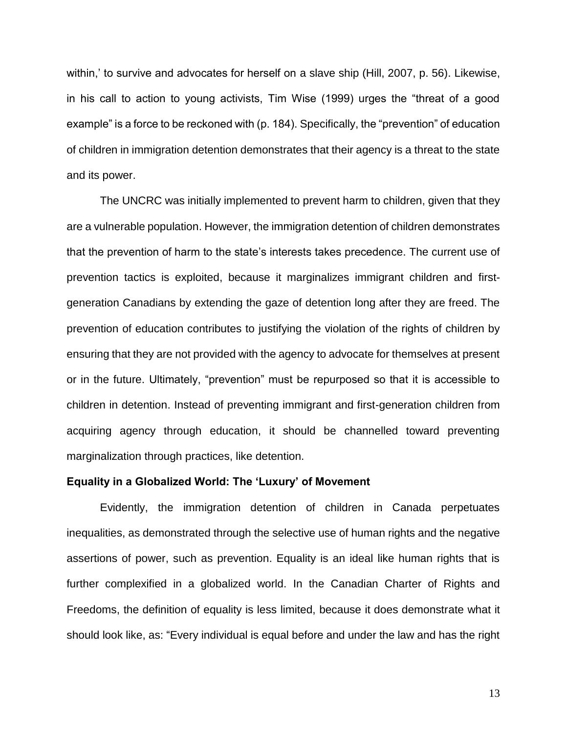within,' to survive and advocates for herself on a slave ship (Hill, 2007, p. 56). Likewise, in his call to action to young activists, Tim Wise (1999) urges the "threat of a good example" is a force to be reckoned with (p. 184). Specifically, the "prevention" of education of children in immigration detention demonstrates that their agency is a threat to the state and its power.

The UNCRC was initially implemented to prevent harm to children, given that they are a vulnerable population. However, the immigration detention of children demonstrates that the prevention of harm to the state's interests takes precedence. The current use of prevention tactics is exploited, because it marginalizes immigrant children and firstgeneration Canadians by extending the gaze of detention long after they are freed. The prevention of education contributes to justifying the violation of the rights of children by ensuring that they are not provided with the agency to advocate for themselves at present or in the future. Ultimately, "prevention" must be repurposed so that it is accessible to children in detention. Instead of preventing immigrant and first-generation children from acquiring agency through education, it should be channelled toward preventing marginalization through practices, like detention.

## **Equality in a Globalized World: The 'Luxury' of Movement**

Evidently, the immigration detention of children in Canada perpetuates inequalities, as demonstrated through the selective use of human rights and the negative assertions of power, such as prevention. Equality is an ideal like human rights that is further complexified in a globalized world. In the Canadian Charter of Rights and Freedoms, the definition of equality is less limited, because it does demonstrate what it should look like, as: "Every individual is equal before and under the law and has the right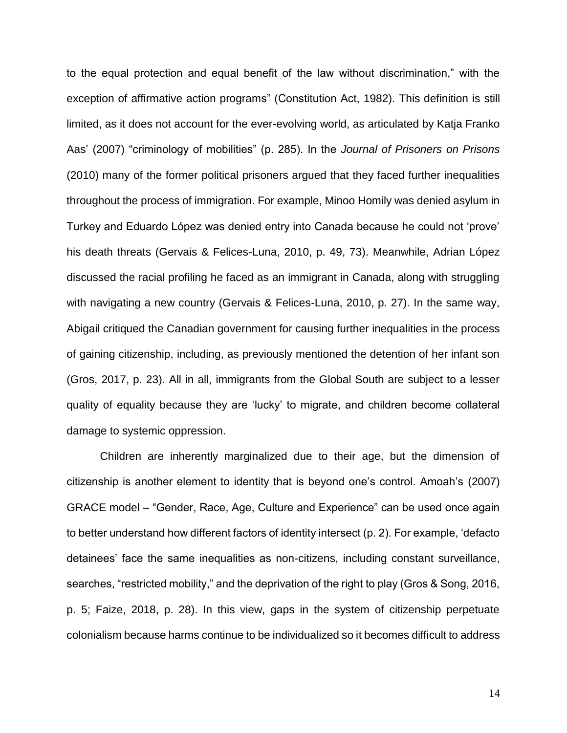to the equal protection and equal benefit of the law without discrimination," with the exception of affirmative action programs" (Constitution Act, 1982). This definition is still limited, as it does not account for the ever-evolving world, as articulated by Katja Franko Aas' (2007) "criminology of mobilities" (p. 285). In the *Journal of Prisoners on Prisons*  (2010) many of the former political prisoners argued that they faced further inequalities throughout the process of immigration. For example, Minoo Homily was denied asylum in Turkey and Eduardo López was denied entry into Canada because he could not 'prove' his death threats (Gervais & Felices-Luna, 2010, p. 49, 73). Meanwhile, Adrian López discussed the racial profiling he faced as an immigrant in Canada, along with struggling with navigating a new country (Gervais & Felices-Luna, 2010, p. 27). In the same way, Abigail critiqued the Canadian government for causing further inequalities in the process of gaining citizenship, including, as previously mentioned the detention of her infant son (Gros, 2017, p. 23). All in all, immigrants from the Global South are subject to a lesser quality of equality because they are 'lucky' to migrate, and children become collateral damage to systemic oppression.

Children are inherently marginalized due to their age, but the dimension of citizenship is another element to identity that is beyond one's control. Amoah's (2007) GRACE model – "Gender, Race, Age, Culture and Experience" can be used once again to better understand how different factors of identity intersect (p. 2). For example, 'defacto detainees' face the same inequalities as non-citizens, including constant surveillance, searches, "restricted mobility," and the deprivation of the right to play (Gros & Song, 2016, p. 5; Faize, 2018, p. 28). In this view, gaps in the system of citizenship perpetuate colonialism because harms continue to be individualized so it becomes difficult to address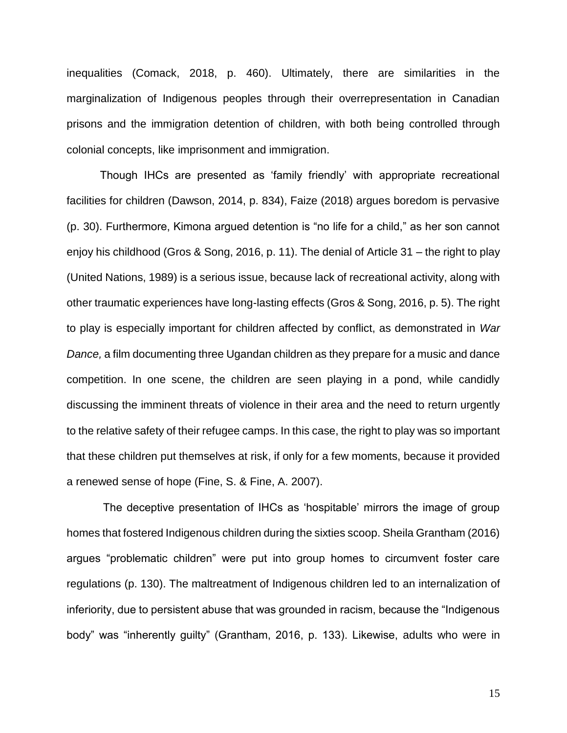inequalities (Comack, 2018, p. 460). Ultimately, there are similarities in the marginalization of Indigenous peoples through their overrepresentation in Canadian prisons and the immigration detention of children, with both being controlled through colonial concepts, like imprisonment and immigration.

Though IHCs are presented as 'family friendly' with appropriate recreational facilities for children (Dawson, 2014, p. 834), Faize (2018) argues boredom is pervasive (p. 30). Furthermore, Kimona argued detention is "no life for a child," as her son cannot enjoy his childhood (Gros & Song, 2016, p. 11). The denial of Article 31 – the right to play (United Nations, 1989) is a serious issue, because lack of recreational activity, along with other traumatic experiences have long-lasting effects (Gros & Song, 2016, p. 5). The right to play is especially important for children affected by conflict, as demonstrated in *War Dance,* a film documenting three Ugandan children as they prepare for a music and dance competition. In one scene, the children are seen playing in a pond, while candidly discussing the imminent threats of violence in their area and the need to return urgently to the relative safety of their refugee camps. In this case, the right to play was so important that these children put themselves at risk, if only for a few moments, because it provided a renewed sense of hope (Fine, S. & Fine, A. 2007).

The deceptive presentation of IHCs as 'hospitable' mirrors the image of group homes that fostered Indigenous children during the sixties scoop. Sheila Grantham (2016) argues "problematic children" were put into group homes to circumvent foster care regulations (p. 130). The maltreatment of Indigenous children led to an internalization of inferiority, due to persistent abuse that was grounded in racism, because the "Indigenous body" was "inherently guilty" (Grantham, 2016, p. 133). Likewise, adults who were in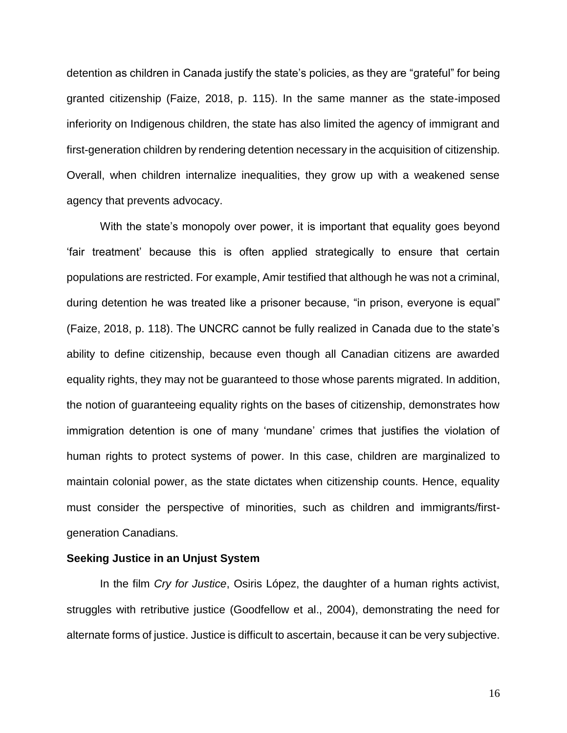detention as children in Canada justify the state's policies, as they are "grateful" for being granted citizenship (Faize, 2018, p. 115). In the same manner as the state-imposed inferiority on Indigenous children, the state has also limited the agency of immigrant and first-generation children by rendering detention necessary in the acquisition of citizenship. Overall, when children internalize inequalities, they grow up with a weakened sense agency that prevents advocacy.

With the state's monopoly over power, it is important that equality goes beyond 'fair treatment' because this is often applied strategically to ensure that certain populations are restricted. For example, Amir testified that although he was not a criminal, during detention he was treated like a prisoner because, "in prison, everyone is equal" (Faize, 2018, p. 118). The UNCRC cannot be fully realized in Canada due to the state's ability to define citizenship, because even though all Canadian citizens are awarded equality rights, they may not be guaranteed to those whose parents migrated. In addition, the notion of guaranteeing equality rights on the bases of citizenship, demonstrates how immigration detention is one of many 'mundane' crimes that justifies the violation of human rights to protect systems of power. In this case, children are marginalized to maintain colonial power, as the state dictates when citizenship counts. Hence, equality must consider the perspective of minorities, such as children and immigrants/firstgeneration Canadians.

### **Seeking Justice in an Unjust System**

In the film *Cry for Justice*, Osiris López, the daughter of a human rights activist, struggles with retributive justice (Goodfellow et al., 2004), demonstrating the need for alternate forms of justice. Justice is difficult to ascertain, because it can be very subjective.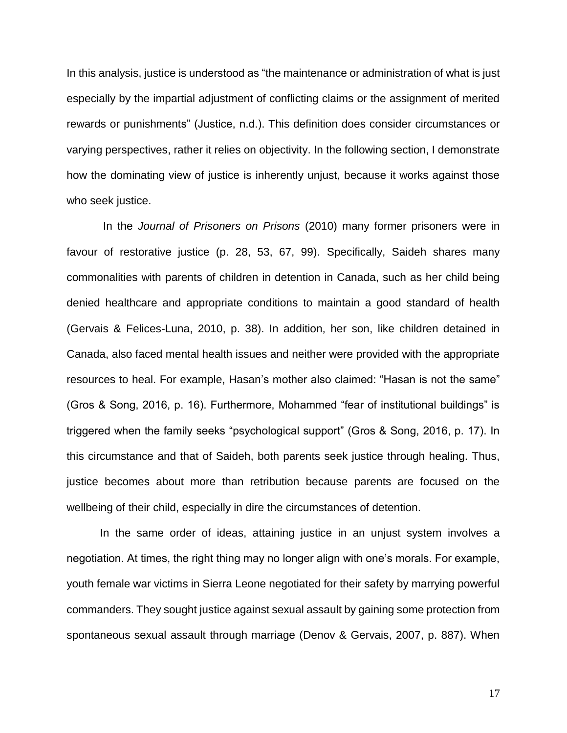In this analysis, justice is understood as "the maintenance or administration of what is just especially by the impartial adjustment of conflicting claims or the assignment of merited rewards or punishments" (Justice, n.d.). This definition does consider circumstances or varying perspectives, rather it relies on objectivity. In the following section, I demonstrate how the dominating view of justice is inherently unjust, because it works against those who seek justice.

In the *Journal of Prisoners on Prisons* (2010) many former prisoners were in favour of restorative justice (p. 28, 53, 67, 99). Specifically, Saideh shares many commonalities with parents of children in detention in Canada, such as her child being denied healthcare and appropriate conditions to maintain a good standard of health (Gervais & Felices-Luna, 2010, p. 38). In addition, her son, like children detained in Canada, also faced mental health issues and neither were provided with the appropriate resources to heal. For example, Hasan's mother also claimed: "Hasan is not the same" (Gros & Song, 2016, p. 16). Furthermore, Mohammed "fear of institutional buildings" is triggered when the family seeks "psychological support" (Gros & Song, 2016, p. 17). In this circumstance and that of Saideh, both parents seek justice through healing. Thus, justice becomes about more than retribution because parents are focused on the wellbeing of their child, especially in dire the circumstances of detention.

In the same order of ideas, attaining justice in an unjust system involves a negotiation. At times, the right thing may no longer align with one's morals. For example, youth female war victims in Sierra Leone negotiated for their safety by marrying powerful commanders. They sought justice against sexual assault by gaining some protection from spontaneous sexual assault through marriage (Denov & Gervais, 2007, p. 887). When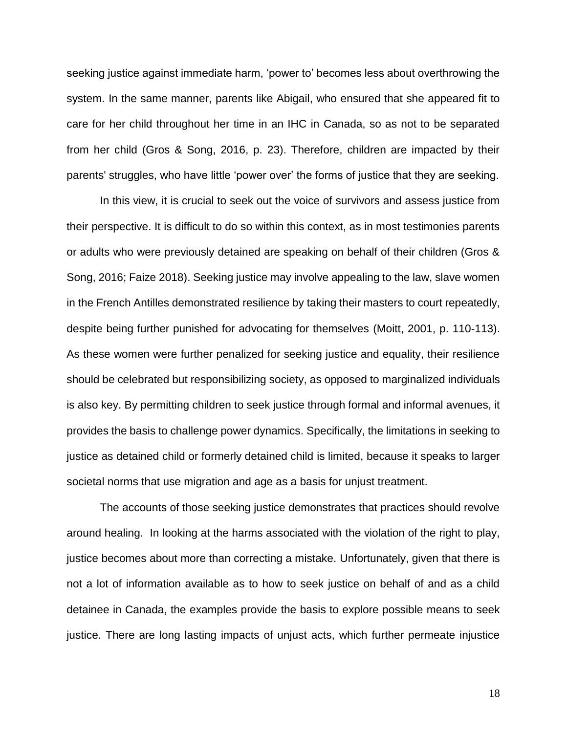seeking justice against immediate harm, 'power to' becomes less about overthrowing the system. In the same manner, parents like Abigail, who ensured that she appeared fit to care for her child throughout her time in an IHC in Canada, so as not to be separated from her child (Gros & Song, 2016, p. 23). Therefore, children are impacted by their parents' struggles, who have little 'power over' the forms of justice that they are seeking.

In this view, it is crucial to seek out the voice of survivors and assess justice from their perspective. It is difficult to do so within this context, as in most testimonies parents or adults who were previously detained are speaking on behalf of their children (Gros & Song, 2016; Faize 2018). Seeking justice may involve appealing to the law, slave women in the French Antilles demonstrated resilience by taking their masters to court repeatedly, despite being further punished for advocating for themselves (Moitt, 2001, p. 110-113). As these women were further penalized for seeking justice and equality, their resilience should be celebrated but responsibilizing society, as opposed to marginalized individuals is also key. By permitting children to seek justice through formal and informal avenues, it provides the basis to challenge power dynamics. Specifically, the limitations in seeking to justice as detained child or formerly detained child is limited, because it speaks to larger societal norms that use migration and age as a basis for unjust treatment.

The accounts of those seeking justice demonstrates that practices should revolve around healing. In looking at the harms associated with the violation of the right to play, justice becomes about more than correcting a mistake. Unfortunately, given that there is not a lot of information available as to how to seek justice on behalf of and as a child detainee in Canada, the examples provide the basis to explore possible means to seek justice. There are long lasting impacts of unjust acts, which further permeate injustice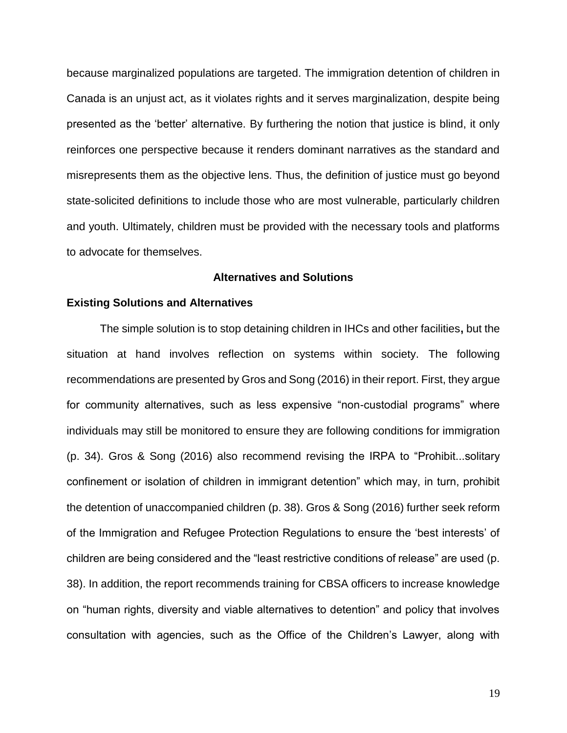because marginalized populations are targeted. The immigration detention of children in Canada is an unjust act, as it violates rights and it serves marginalization, despite being presented as the 'better' alternative. By furthering the notion that justice is blind, it only reinforces one perspective because it renders dominant narratives as the standard and misrepresents them as the objective lens. Thus, the definition of justice must go beyond state-solicited definitions to include those who are most vulnerable, particularly children and youth. Ultimately, children must be provided with the necessary tools and platforms to advocate for themselves.

## **Alternatives and Solutions**

### **Existing Solutions and Alternatives**

The simple solution is to stop detaining children in IHCs and other facilities**,** but the situation at hand involves reflection on systems within society. The following recommendations are presented by Gros and Song (2016) in their report. First, they argue for community alternatives, such as less expensive "non-custodial programs" where individuals may still be monitored to ensure they are following conditions for immigration (p. 34). Gros & Song (2016) also recommend revising the IRPA to "Prohibit...solitary confinement or isolation of children in immigrant detention" which may, in turn, prohibit the detention of unaccompanied children (p. 38). Gros & Song (2016) further seek reform of the Immigration and Refugee Protection Regulations to ensure the 'best interests' of children are being considered and the "least restrictive conditions of release" are used (p. 38). In addition, the report recommends training for CBSA officers to increase knowledge on "human rights, diversity and viable alternatives to detention" and policy that involves consultation with agencies, such as the Office of the Children's Lawyer, along with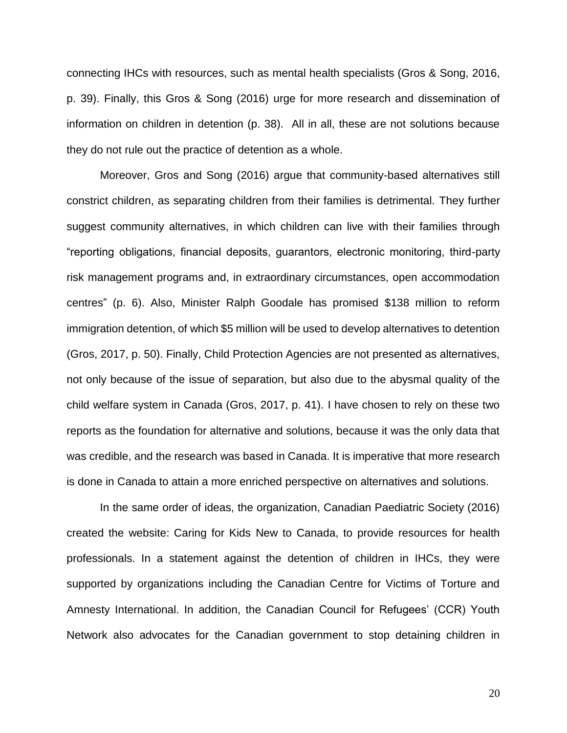connecting IHCs with resources, such as mental health specialists (Gros & Song, 2016, p. 39). Finally, this Gros & Song (2016) urge for more research and dissemination of information on children in detention (p. 38). All in all, these are not solutions because they do not rule out the practice of detention as a whole.

Moreover, Gros and Song (2016) argue that community-based alternatives still constrict children, as separating children from their families is detrimental. They further suggest community alternatives, in which children can live with their families through "reporting obligations, financial deposits, guarantors, electronic monitoring, third-party risk management programs and, in extraordinary circumstances, open accommodation centres" (p. 6). Also, Minister Ralph Goodale has promised \$138 million to reform immigration detention, of which \$5 million will be used to develop alternatives to detention (Gros, 2017, p. 50). Finally, Child Protection Agencies are not presented as alternatives, not only because of the issue of separation, but also due to the abysmal quality of the child welfare system in Canada (Gros, 2017, p. 41). I have chosen to rely on these two reports as the foundation for alternative and solutions, because it was the only data that was credible, and the research was based in Canada. It is imperative that more research is done in Canada to attain a more enriched perspective on alternatives and solutions.

In the same order of ideas, the organization, Canadian Paediatric Society (2016) created the website: Caring for Kids New to Canada, to provide resources for health professionals. In a statement against the detention of children in IHCs, they were supported by organizations including the Canadian Centre for Victims of Torture and Amnesty International. In addition, the Canadian Council for Refugees' (CCR) Youth Network also advocates for the Canadian government to stop detaining children in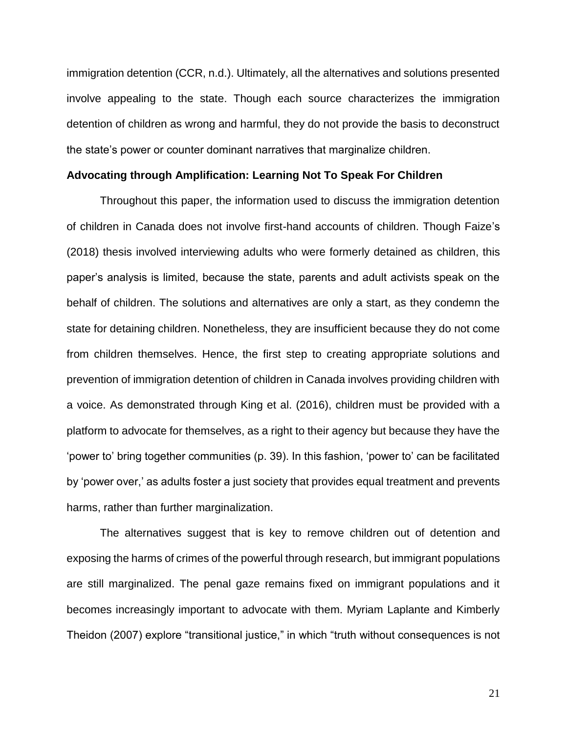immigration detention (CCR, n.d.). Ultimately, all the alternatives and solutions presented involve appealing to the state. Though each source characterizes the immigration detention of children as wrong and harmful, they do not provide the basis to deconstruct the state's power or counter dominant narratives that marginalize children.

# **Advocating through Amplification: Learning Not To Speak For Children**

Throughout this paper, the information used to discuss the immigration detention of children in Canada does not involve first-hand accounts of children. Though Faize's (2018) thesis involved interviewing adults who were formerly detained as children, this paper's analysis is limited, because the state, parents and adult activists speak on the behalf of children. The solutions and alternatives are only a start, as they condemn the state for detaining children. Nonetheless, they are insufficient because they do not come from children themselves. Hence, the first step to creating appropriate solutions and prevention of immigration detention of children in Canada involves providing children with a voice. As demonstrated through King et al. (2016), children must be provided with a platform to advocate for themselves, as a right to their agency but because they have the 'power to' bring together communities (p. 39). In this fashion, 'power to' can be facilitated by 'power over,' as adults foster a just society that provides equal treatment and prevents harms, rather than further marginalization.

The alternatives suggest that is key to remove children out of detention and exposing the harms of crimes of the powerful through research, but immigrant populations are still marginalized. The penal gaze remains fixed on immigrant populations and it becomes increasingly important to advocate with them. Myriam Laplante and Kimberly Theidon (2007) explore "transitional justice," in which "truth without consequences is not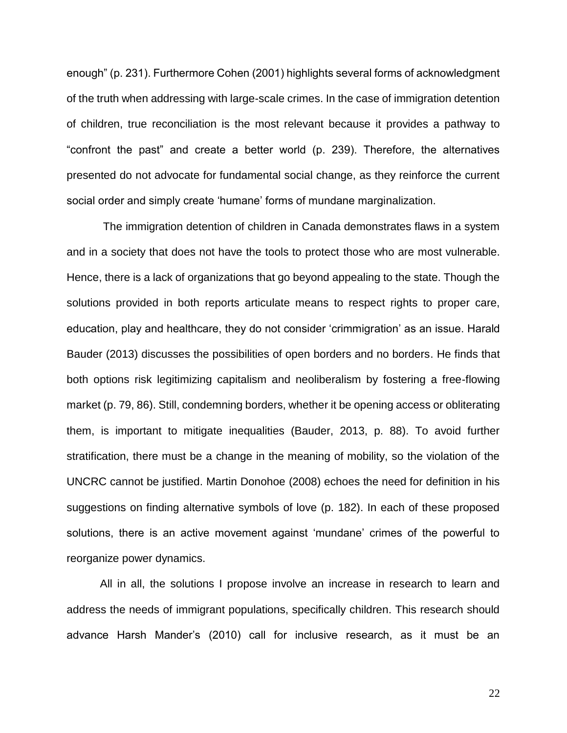enough" (p. 231). Furthermore Cohen (2001) highlights several forms of acknowledgment of the truth when addressing with large-scale crimes. In the case of immigration detention of children, true reconciliation is the most relevant because it provides a pathway to "confront the past" and create a better world (p. 239). Therefore, the alternatives presented do not advocate for fundamental social change, as they reinforce the current social order and simply create 'humane' forms of mundane marginalization.

The immigration detention of children in Canada demonstrates flaws in a system and in a society that does not have the tools to protect those who are most vulnerable. Hence, there is a lack of organizations that go beyond appealing to the state. Though the solutions provided in both reports articulate means to respect rights to proper care, education, play and healthcare, they do not consider 'crimmigration' as an issue. Harald Bauder (2013) discusses the possibilities of open borders and no borders. He finds that both options risk legitimizing capitalism and neoliberalism by fostering a free-flowing market (p. 79, 86). Still, condemning borders, whether it be opening access or obliterating them, is important to mitigate inequalities (Bauder, 2013, p. 88). To avoid further stratification, there must be a change in the meaning of mobility, so the violation of the UNCRC cannot be justified. Martin Donohoe (2008) echoes the need for definition in his suggestions on finding alternative symbols of love (p. 182). In each of these proposed solutions, there is an active movement against 'mundane' crimes of the powerful to reorganize power dynamics.

All in all, the solutions I propose involve an increase in research to learn and address the needs of immigrant populations, specifically children. This research should advance Harsh Mander's (2010) call for inclusive research, as it must be an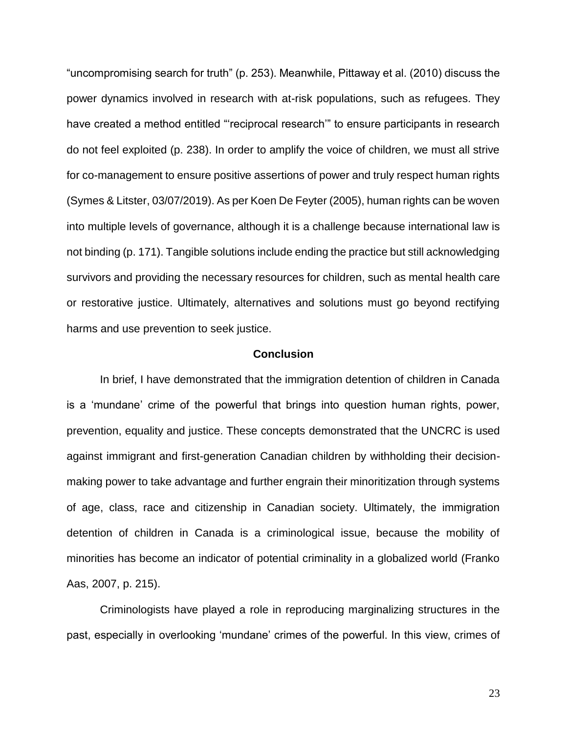"uncompromising search for truth" (p. 253). Meanwhile, Pittaway et al. (2010) discuss the power dynamics involved in research with at-risk populations, such as refugees. They have created a method entitled "'reciprocal research'" to ensure participants in research do not feel exploited (p. 238). In order to amplify the voice of children, we must all strive for co-management to ensure positive assertions of power and truly respect human rights (Symes & Litster, 03/07/2019). As per Koen De Feyter (2005), human rights can be woven into multiple levels of governance, although it is a challenge because international law is not binding (p. 171). Tangible solutions include ending the practice but still acknowledging survivors and providing the necessary resources for children, such as mental health care or restorative justice. Ultimately, alternatives and solutions must go beyond rectifying harms and use prevention to seek justice.

### **Conclusion**

In brief, I have demonstrated that the immigration detention of children in Canada is a 'mundane' crime of the powerful that brings into question human rights, power, prevention, equality and justice. These concepts demonstrated that the UNCRC is used against immigrant and first-generation Canadian children by withholding their decisionmaking power to take advantage and further engrain their minoritization through systems of age, class, race and citizenship in Canadian society. Ultimately, the immigration detention of children in Canada is a criminological issue, because the mobility of minorities has become an indicator of potential criminality in a globalized world (Franko Aas, 2007, p. 215).

Criminologists have played a role in reproducing marginalizing structures in the past, especially in overlooking 'mundane' crimes of the powerful. In this view, crimes of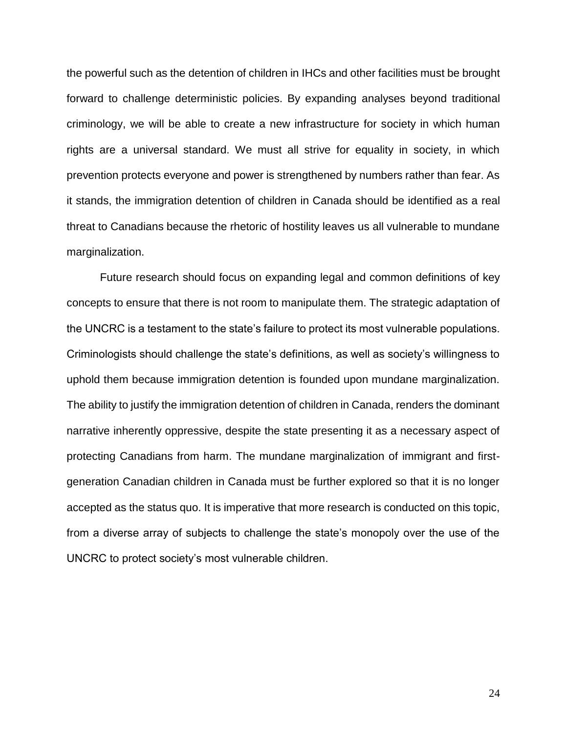the powerful such as the detention of children in IHCs and other facilities must be brought forward to challenge deterministic policies. By expanding analyses beyond traditional criminology, we will be able to create a new infrastructure for society in which human rights are a universal standard. We must all strive for equality in society, in which prevention protects everyone and power is strengthened by numbers rather than fear. As it stands, the immigration detention of children in Canada should be identified as a real threat to Canadians because the rhetoric of hostility leaves us all vulnerable to mundane marginalization.

Future research should focus on expanding legal and common definitions of key concepts to ensure that there is not room to manipulate them. The strategic adaptation of the UNCRC is a testament to the state's failure to protect its most vulnerable populations. Criminologists should challenge the state's definitions, as well as society's willingness to uphold them because immigration detention is founded upon mundane marginalization. The ability to justify the immigration detention of children in Canada, renders the dominant narrative inherently oppressive, despite the state presenting it as a necessary aspect of protecting Canadians from harm. The mundane marginalization of immigrant and firstgeneration Canadian children in Canada must be further explored so that it is no longer accepted as the status quo. It is imperative that more research is conducted on this topic, from a diverse array of subjects to challenge the state's monopoly over the use of the UNCRC to protect society's most vulnerable children.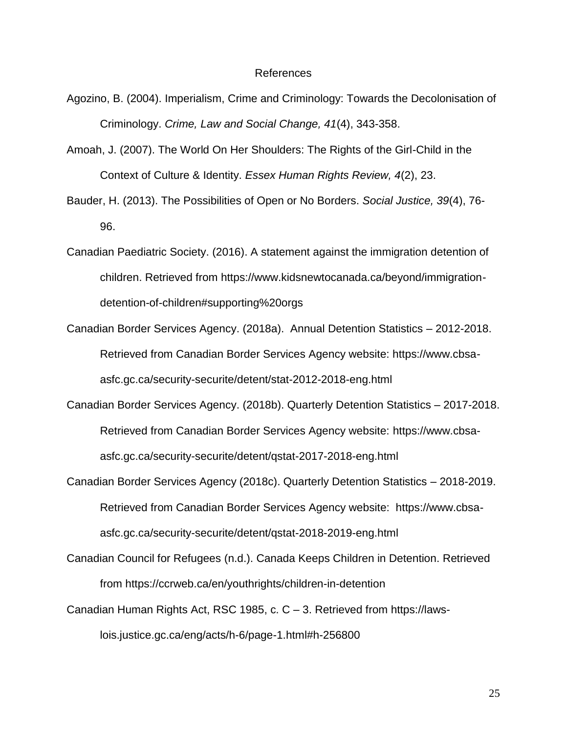#### References

- Agozino, B. (2004). Imperialism, Crime and Criminology: Towards the Decolonisation of Criminology. *Crime, Law and Social Change, 41*(4), 343-358.
- Amoah, J. (2007). The World On Her Shoulders: The Rights of the Girl-Child in the Context of Culture & Identity. *Essex Human Rights Review, 4*(2), 23.
- Bauder, H. (2013). The Possibilities of Open or No Borders. *Social Justice, 39*(4), 76- 96.
- Canadian Paediatric Society. (2016). A statement against the immigration detention of children. Retrieved from https://www.kidsnewtocanada.ca/beyond/immigrationdetention-of-children#supporting%20orgs
- Canadian Border Services Agency. (2018a). Annual Detention Statistics 2012-2018. Retrieved from Canadian Border Services Agency website: https://www.cbsaasfc.gc.ca/security-securite/detent/stat-2012-2018-eng.html
- Canadian Border Services Agency. (2018b). Quarterly Detention Statistics 2017-2018. Retrieved from Canadian Border Services Agency website: https://www.cbsaasfc.gc.ca/security-securite/detent/qstat-2017-2018-eng.html
- Canadian Border Services Agency (2018c). Quarterly Detention Statistics 2018-2019. Retrieved from Canadian Border Services Agency website: https://www.cbsaasfc.gc.ca/security-securite/detent/qstat-2018-2019-eng.html
- Canadian Council for Refugees (n.d.). Canada Keeps Children in Detention. Retrieved from https://ccrweb.ca/en/youthrights/children-in-detention
- Canadian Human Rights Act, RSC 1985, c. C 3. Retrieved from https://lawslois.justice.gc.ca/eng/acts/h-6/page-1.html#h-256800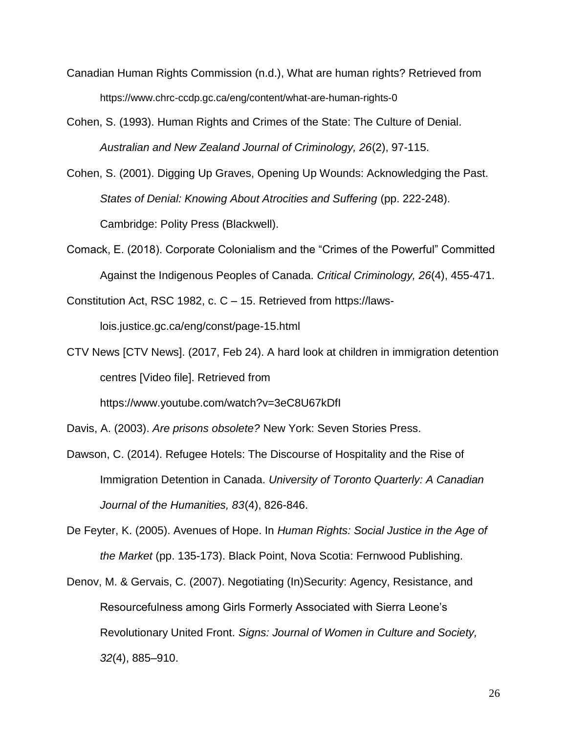- Canadian Human Rights Commission (n.d.), What are human rights? Retrieved from https://www.chrc-ccdp.gc.ca/eng/content/what-are-human-rights-0
- Cohen, S. (1993). Human Rights and Crimes of the State: The Culture of Denial. *Australian and New Zealand Journal of Criminology, 26*(2), 97-115.
- Cohen, S. (2001). Digging Up Graves, Opening Up Wounds: Acknowledging the Past. *States of Denial: Knowing About Atrocities and Suffering* (pp. 222-248). Cambridge: Polity Press (Blackwell).
- Comack, E. (2018). Corporate Colonialism and the "Crimes of the Powerful" Committed Against the Indigenous Peoples of Canada. *Critical Criminology, 26*(4), 455-471.

Constitution Act, RSC 1982, c. C – 15. Retrieved from https://laws-

lois.justice.gc.ca/eng/const/page-15.html

CTV News [CTV News]. (2017, Feb 24). A hard look at children in immigration detention centres [Video file]. Retrieved from

https://www.youtube.com/watch?v=3eC8U67kDfI

- Davis, A. (2003). *Are prisons obsolete?* New York: Seven Stories Press.
- Dawson, C. (2014). Refugee Hotels: The Discourse of Hospitality and the Rise of Immigration Detention in Canada. *University of Toronto Quarterly: A Canadian Journal of the Humanities, 83*(4), 826-846.
- De Feyter, K. (2005). Avenues of Hope. In *Human Rights: Social Justice in the Age of the Market* (pp. 135-173). Black Point, Nova Scotia: Fernwood Publishing.
- Denov, M. & Gervais, C. (2007). Negotiating (In)Security: Agency, Resistance, and Resourcefulness among Girls Formerly Associated with Sierra Leone's Revolutionary United Front. *Signs: Journal of Women in Culture and Society, 32*(4), 885–910.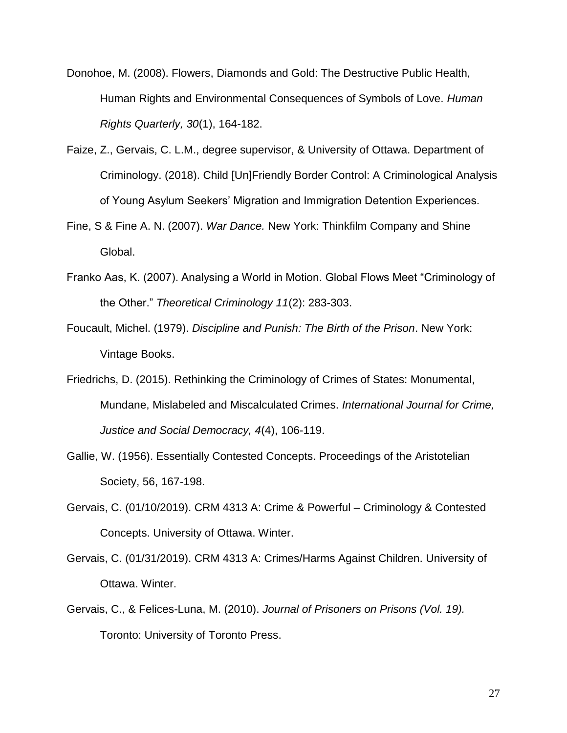- Donohoe, M. (2008). Flowers, Diamonds and Gold: The Destructive Public Health, Human Rights and Environmental Consequences of Symbols of Love. *Human Rights Quarterly, 30*(1), 164-182.
- Faize, Z., Gervais, C. L.M., degree supervisor, & University of Ottawa. Department of Criminology. (2018). Child [Un]Friendly Border Control: A Criminological Analysis of Young Asylum Seekers' Migration and Immigration Detention Experiences.
- Fine, S & Fine A. N. (2007). *War Dance.* New York: Thinkfilm Company and Shine Global.
- Franko Aas, K. (2007). Analysing a World in Motion. Global Flows Meet "Criminology of the Other." *Theoretical Criminology 11*(2): 283-303.
- Foucault, Michel. (1979). *Discipline and Punish: The Birth of the Prison*. New York: Vintage Books.
- Friedrichs, D. (2015). Rethinking the Criminology of Crimes of States: Monumental, Mundane, Mislabeled and Miscalculated Crimes. *International Journal for Crime, Justice and Social Democracy, 4*(4), 106-119.
- Gallie, W. (1956). Essentially Contested Concepts. Proceedings of the Aristotelian Society, 56, 167-198.
- Gervais, C. (01/10/2019). CRM 4313 A: Crime & Powerful Criminology & Contested Concepts. University of Ottawa. Winter.
- Gervais, C. (01/31/2019). CRM 4313 A: Crimes/Harms Against Children. University of Ottawa. Winter.
- Gervais, C., & Felices-Luna, M. (2010). *Journal of Prisoners on Prisons (Vol. 19).* Toronto: University of Toronto Press.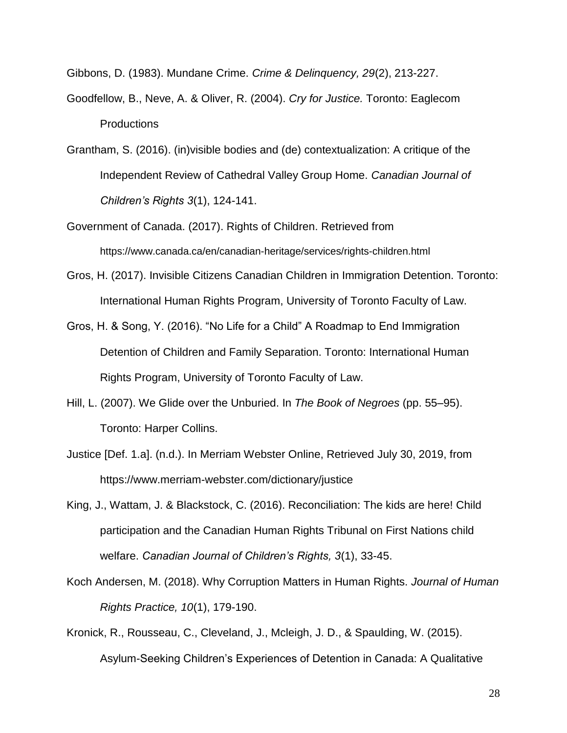Gibbons, D. (1983). Mundane Crime. *Crime & Delinquency, 29*(2), 213-227.

- Goodfellow, B., Neve, A. & Oliver, R. (2004). *Cry for Justice.* Toronto: Eaglecom **Productions**
- Grantham, S. (2016). (in)visible bodies and (de) contextualization: A critique of the Independent Review of Cathedral Valley Group Home. *Canadian Journal of Children's Rights 3*(1), 124-141.
- Government of Canada. (2017). Rights of Children. Retrieved from https://www.canada.ca/en/canadian-heritage/services/rights-children.html
- Gros, H. (2017). Invisible Citizens Canadian Children in Immigration Detention. Toronto: International Human Rights Program, University of Toronto Faculty of Law.
- Gros, H. & Song, Y. (2016). "No Life for a Child" A Roadmap to End Immigration Detention of Children and Family Separation. Toronto: International Human Rights Program, University of Toronto Faculty of Law.
- Hill, L. (2007). We Glide over the Unburied. In *The Book of Negroes* (pp. 55–95). Toronto: Harper Collins.
- Justice [Def. 1.a]. (n.d.). In Merriam Webster Online, Retrieved July 30, 2019, from https://www.merriam-webster.com/dictionary/justice
- King, J., Wattam, J. & Blackstock, C. (2016). Reconciliation: The kids are here! Child participation and the Canadian Human Rights Tribunal on First Nations child welfare. *Canadian Journal of Children's Rights, 3*(1), 33-45.
- Koch Andersen, M. (2018). Why Corruption Matters in Human Rights. *Journal of Human Rights Practice, 10*(1), 179-190.
- Kronick, R., Rousseau, C., Cleveland, J., Mcleigh, J. D., & Spaulding, W. (2015). Asylum-Seeking Children's Experiences of Detention in Canada: A Qualitative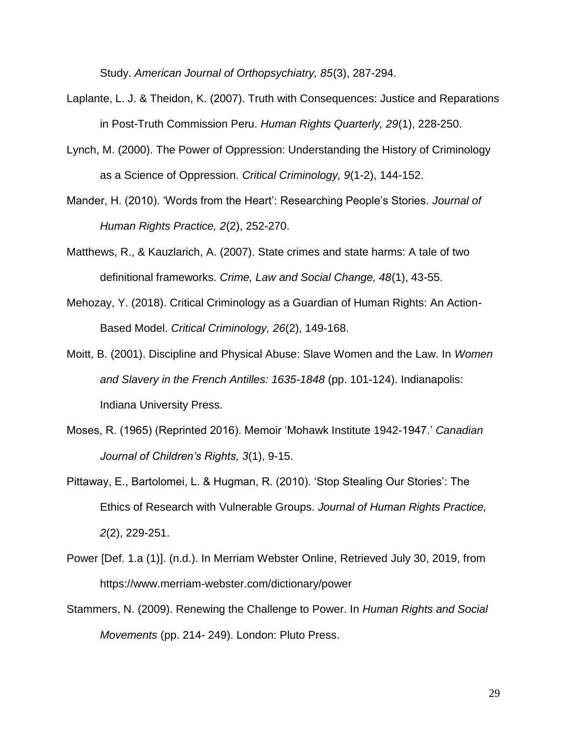Study. *American Journal of Orthopsychiatry, 85*(3), 287-294.

- Laplante, L. J. & Theidon, K. (2007). Truth with Consequences: Justice and Reparations in Post-Truth Commission Peru. *Human Rights Quarterly, 29*(1), 228-250.
- Lynch, M. (2000). The Power of Oppression: Understanding the History of Criminology as a Science of Oppression. *Critical Criminology, 9*(1-2), 144-152.
- Mander, H. (2010). 'Words from the Heart': Researching People's Stories. *Journal of Human Rights Practice, 2*(2), 252-270.
- Matthews, R., & Kauzlarich, A. (2007). State crimes and state harms: A tale of two definitional frameworks. *Crime, Law and Social Change, 48*(1), 43-55.
- Mehozay, Y. (2018). Critical Criminology as a Guardian of Human Rights: An Action-Based Model. *Critical Criminology, 26*(2), 149-168.
- Moitt, B. (2001). Discipline and Physical Abuse: Slave Women and the Law. In *Women and Slavery in the French Antilles: 1635-1848* (pp. 101-124). Indianapolis: Indiana University Press.
- Moses, R. (1965) (Reprinted 2016). Memoir 'Mohawk Institute 1942-1947.' *Canadian Journal of Children's Rights, 3*(1), 9-15.
- Pittaway, E., Bartolomei, L. & Hugman, R. (2010). 'Stop Stealing Our Stories': The Ethics of Research with Vulnerable Groups. *Journal of Human Rights Practice, 2*(2), 229-251.
- Power [Def. 1.a (1)]. (n.d.). In Merriam Webster Online, Retrieved July 30, 2019, from https://www.merriam-webster.com/dictionary/power
- Stammers, N. (2009). Renewing the Challenge to Power. In *Human Rights and Social Movements* (pp. 214- 249). London: Pluto Press.